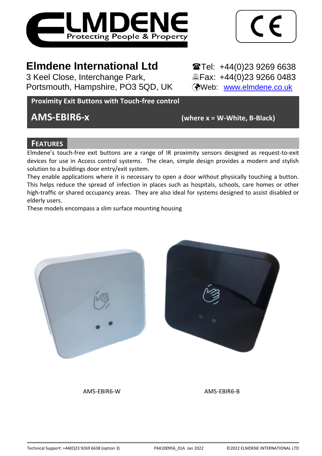

$$
\boxed{\text{CE}}
$$

# **Elmdene International Ltd** Tel: +44(0)23 9269 6638

3 Keel Close, Interchange Park,<br>
Portsmouth, Hampshire, PO3 5QD, UK (Web: www.elmdene.co.uk) Portsmouth, Hampshire, PO3 5QD, UK

## **Proximity Exit Buttons with Touch-free control**

**AMS-EBIR6-x (where x = W-White, B-Black)**

## **FEATURES**

Elmdene's touch-free exit buttons are a range of IR proximity sensors designed as request-to-exit devices for use in Access control systems. The clean, simple design provides a modern and stylish solution to a buildings door entry/exit system.

They enable applications where it is necessary to open a door without physically touching a button. This helps reduce the spread of infection in places such as hospitals, schools, care homes or other high-traffic or shared occupancy areas. They are also ideal for systems designed to assist disabled or elderly users.

These models encompass a slim surface mounting housing



AMS-EBIR6-W AMS-EBIR6-B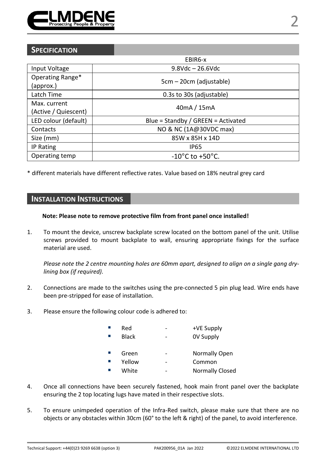

|                                      | EBIR6-x                             |  |
|--------------------------------------|-------------------------------------|--|
| Input Voltage                        | $9.8$ Vdc $- 26.6$ Vdc              |  |
| Operating Range*<br>(approx.)        | 5cm – 20cm (adjustable)             |  |
| Latch Time                           | 0.3s to 30s (adjustable)            |  |
| Max. current<br>(Active / Quiescent) | 40mA / 15mA                         |  |
| LED colour (default)                 | Blue = Standby / GREEN = Activated  |  |
| Contacts                             | NO & NC (1A@30VDC max)              |  |
| Size (mm)                            | 85W x 85H x 14D                     |  |
| IP Rating                            | <b>IP65</b>                         |  |
| Operating temp                       | $-10^{\circ}$ C to $+50^{\circ}$ C. |  |

\* different materials have different reflective rates. Value based on 18% neutral grey card

## **INSTALLATION INSTRUCTIONS**

#### **Note: Please note to remove protective film from front panel once installed!**

1. To mount the device, unscrew backplate screw located on the bottom panel of the unit. Utilise screws provided to mount backplate to wall, ensuring appropriate fixings for the surface material are used.

*Please note the 2 centre mounting holes are 60mm apart, designed to align on a single gang drylining box (if required).*

- 2. Connections are made to the switches using the pre-connected 5 pin plug lead. Wire ends have been pre-stripped for ease of installation.
- 3. Please ensure the following colour code is adhered to:

| Red    | ۰ | +VE Supply       |
|--------|---|------------------|
| Black  | - | <b>OV Supply</b> |
|        |   |                  |
| Green  | ۰ | Normally Open    |
| Yellow | ۰ | Common           |
| White  |   | Normally Closed  |

- 4. Once all connections have been securely fastened, hook main front panel over the backplate ensuring the 2 top locating lugs have mated in their respective slots.
- 5. To ensure unimpeded operation of the Infra-Red switch, please make sure that there are no objects or any obstacles within 30cm (60° to the left & right) of the panel, to avoid interference.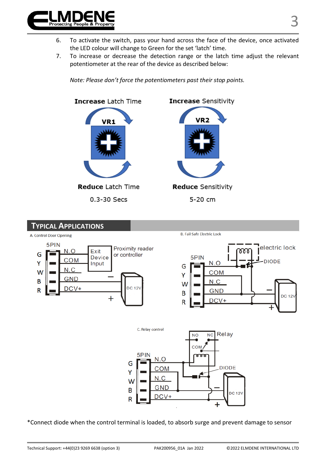

- 6. To activate the switch, pass your hand across the face of the device, once activated the LED colour will change to Green for the set 'latch' time.
- 7. To increase or decrease the detection range or the latch time adjust the relevant potentiometer at the rear of the device as described below:



*Note: Please don't force the potentiometers past their stop points.*



\*Connect diode when the control terminal is loaded, to absorb surge and prevent damage to sensor